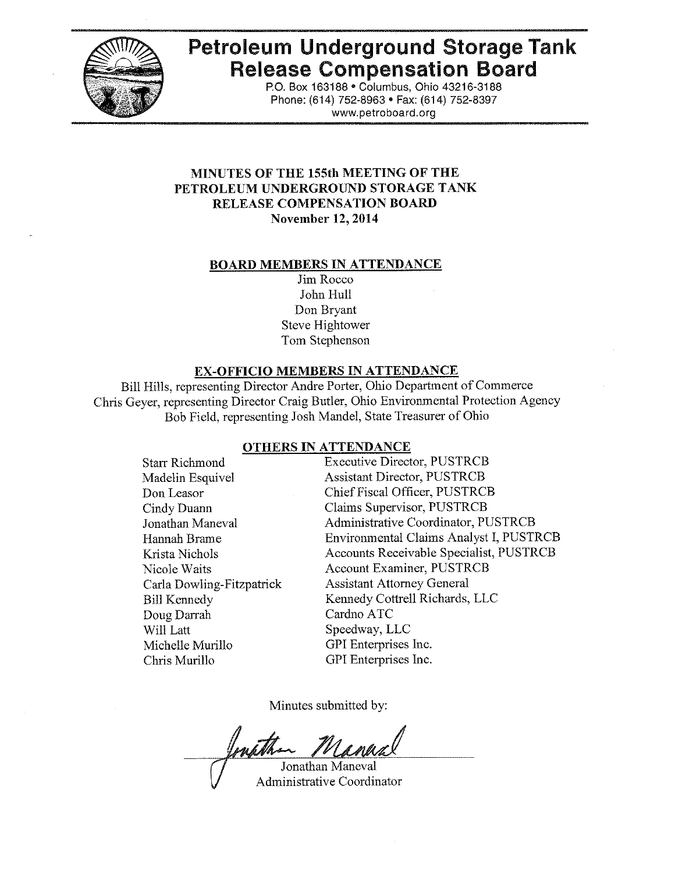

# **Petroleum Underground Storage Tank Release Compensation Board**

po. Box 163188· Columbus, Ohio 43216-3188 Phone: (614) 752-8963 · Fax: (614) 752-8397 www.petroboard.org

## **MINUTES OF THE 155th MEETING OF THE PETROLEUM UNDERGROUND STORAGE TANK RELEASE COMPENSATION BOARD November 12, 2014**

#### **BOARD MEMBERS IN ATTENDANCE**

Jim Rocco John Hull Don Bryant Steve Hightower Tom Stephenson

#### **EX-OFFICIO MEMBERS IN ATTENDANCE**

Bill Hills, representing Director Andre Porter, Ohio Department of Commerce Chris Geyer, representing Director Craig Butler, Ohio Environmental Protection Agency Bob Field, representing Josh Mandel, State Treasurer of Ohio

#### **OTHERS IN ATTENDANCE**

| <b>Starr Richmond</b>     | <b>Executive Director, PUSTRCB</b>      |
|---------------------------|-----------------------------------------|
| Madelin Esquivel          | <b>Assistant Director, PUSTRCB</b>      |
| Don Leasor                | Chief Fiscal Officer, PUSTRCB           |
| Cindy Duann               | Claims Supervisor, PUSTRCB              |
| Jonathan Maneval          | Administrative Coordinator, PUSTRCB     |
| Hannah Brame              | Environmental Claims Analyst I, PUSTRCB |
| Krista Nichols            | Accounts Receivable Specialist, PUSTRCB |
| Nicole Waits              | Account Examiner, PUSTRCB               |
| Carla Dowling-Fitzpatrick | <b>Assistant Attorney General</b>       |
| <b>Bill Kennedy</b>       | Kennedy Cottrell Richards, LLC          |
| Doug Darrah               | Cardno ATC                              |
| Will Latt                 | Speedway, LLC                           |
| Michelle Murillo          | GPI Enterprises Inc.                    |
| Chris Murillo             | GPI Enterprises Inc.                    |

Minutes submitted by:

Jonathan Maneval Administrative Coordinator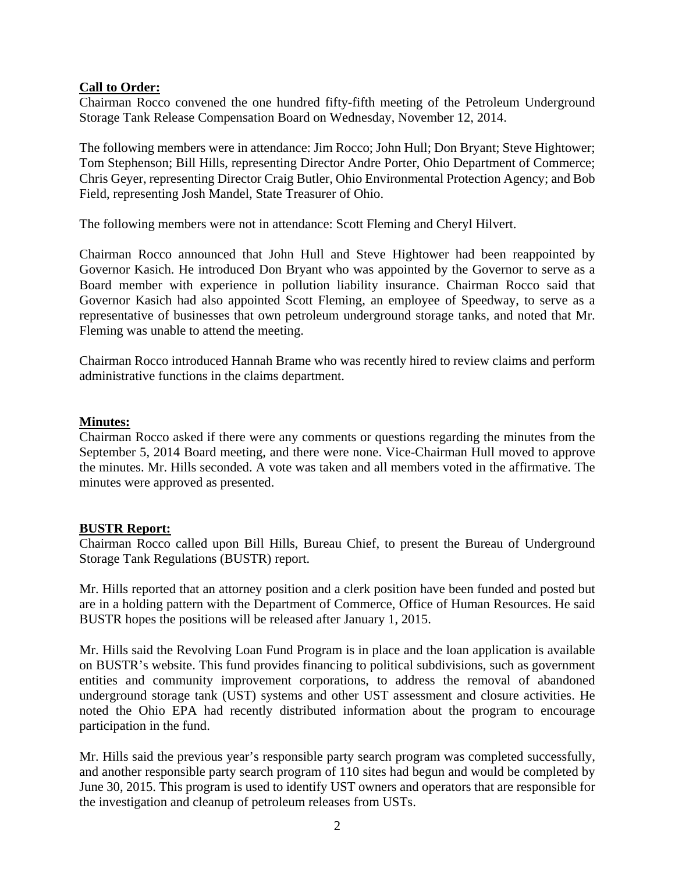## **Call to Order:**

Chairman Rocco convened the one hundred fifty-fifth meeting of the Petroleum Underground Storage Tank Release Compensation Board on Wednesday, November 12, 2014.

The following members were in attendance: Jim Rocco; John Hull; Don Bryant; Steve Hightower; Tom Stephenson; Bill Hills, representing Director Andre Porter, Ohio Department of Commerce; Chris Geyer, representing Director Craig Butler, Ohio Environmental Protection Agency; and Bob Field, representing Josh Mandel, State Treasurer of Ohio.

The following members were not in attendance: Scott Fleming and Cheryl Hilvert.

Chairman Rocco announced that John Hull and Steve Hightower had been reappointed by Governor Kasich. He introduced Don Bryant who was appointed by the Governor to serve as a Board member with experience in pollution liability insurance. Chairman Rocco said that Governor Kasich had also appointed Scott Fleming, an employee of Speedway, to serve as a representative of businesses that own petroleum underground storage tanks, and noted that Mr. Fleming was unable to attend the meeting.

Chairman Rocco introduced Hannah Brame who was recently hired to review claims and perform administrative functions in the claims department.

## **Minutes:**

Chairman Rocco asked if there were any comments or questions regarding the minutes from the September 5, 2014 Board meeting, and there were none. Vice-Chairman Hull moved to approve the minutes. Mr. Hills seconded. A vote was taken and all members voted in the affirmative. The minutes were approved as presented.

## **BUSTR Report:**

Chairman Rocco called upon Bill Hills, Bureau Chief, to present the Bureau of Underground Storage Tank Regulations (BUSTR) report.

Mr. Hills reported that an attorney position and a clerk position have been funded and posted but are in a holding pattern with the Department of Commerce, Office of Human Resources. He said BUSTR hopes the positions will be released after January 1, 2015.

Mr. Hills said the Revolving Loan Fund Program is in place and the loan application is available on BUSTR's website. This fund provides financing to political subdivisions, such as government entities and community improvement corporations, to address the removal of abandoned underground storage tank (UST) systems and other UST assessment and closure activities. He noted the Ohio EPA had recently distributed information about the program to encourage participation in the fund.

Mr. Hills said the previous year's responsible party search program was completed successfully, and another responsible party search program of 110 sites had begun and would be completed by June 30, 2015. This program is used to identify UST owners and operators that are responsible for the investigation and cleanup of petroleum releases from USTs.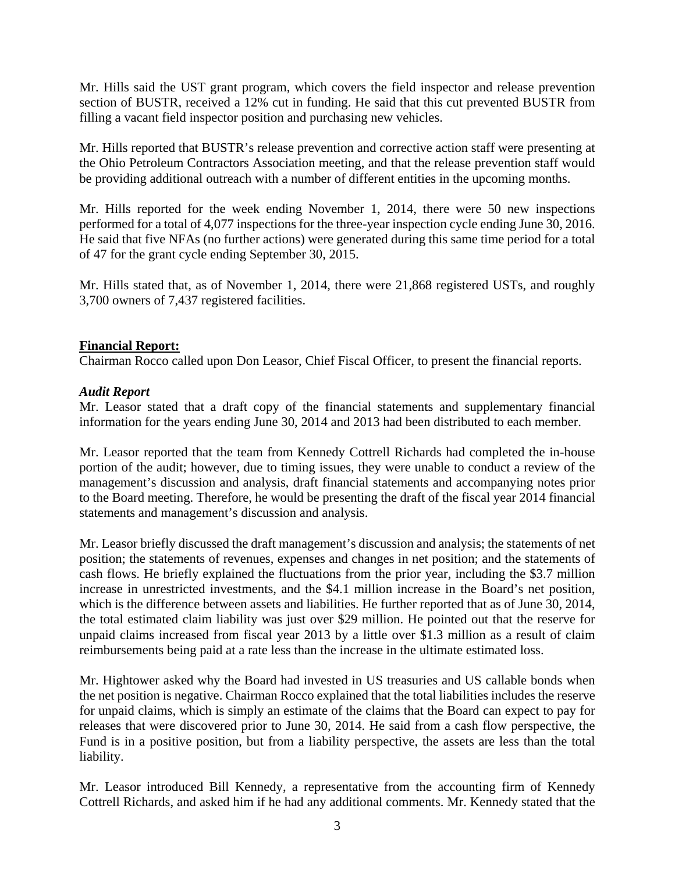Mr. Hills said the UST grant program, which covers the field inspector and release prevention section of BUSTR, received a 12% cut in funding. He said that this cut prevented BUSTR from filling a vacant field inspector position and purchasing new vehicles.

Mr. Hills reported that BUSTR's release prevention and corrective action staff were presenting at the Ohio Petroleum Contractors Association meeting, and that the release prevention staff would be providing additional outreach with a number of different entities in the upcoming months.

Mr. Hills reported for the week ending November 1, 2014, there were 50 new inspections performed for a total of 4,077 inspections for the three-year inspection cycle ending June 30, 2016. He said that five NFAs (no further actions) were generated during this same time period for a total of 47 for the grant cycle ending September 30, 2015.

Mr. Hills stated that, as of November 1, 2014, there were 21,868 registered USTs, and roughly 3,700 owners of 7,437 registered facilities.

## **Financial Report:**

Chairman Rocco called upon Don Leasor, Chief Fiscal Officer, to present the financial reports.

## *Audit Report*

Mr. Leasor stated that a draft copy of the financial statements and supplementary financial information for the years ending June 30, 2014 and 2013 had been distributed to each member.

Mr. Leasor reported that the team from Kennedy Cottrell Richards had completed the in-house portion of the audit; however, due to timing issues, they were unable to conduct a review of the management's discussion and analysis, draft financial statements and accompanying notes prior to the Board meeting. Therefore, he would be presenting the draft of the fiscal year 2014 financial statements and management's discussion and analysis.

Mr. Leasor briefly discussed the draft management's discussion and analysis; the statements of net position; the statements of revenues, expenses and changes in net position; and the statements of cash flows. He briefly explained the fluctuations from the prior year, including the \$3.7 million increase in unrestricted investments, and the \$4.1 million increase in the Board's net position, which is the difference between assets and liabilities. He further reported that as of June 30, 2014, the total estimated claim liability was just over \$29 million. He pointed out that the reserve for unpaid claims increased from fiscal year 2013 by a little over \$1.3 million as a result of claim reimbursements being paid at a rate less than the increase in the ultimate estimated loss.

Mr. Hightower asked why the Board had invested in US treasuries and US callable bonds when the net position is negative. Chairman Rocco explained that the total liabilities includes the reserve for unpaid claims, which is simply an estimate of the claims that the Board can expect to pay for releases that were discovered prior to June 30, 2014. He said from a cash flow perspective, the Fund is in a positive position, but from a liability perspective, the assets are less than the total liability.

Mr. Leasor introduced Bill Kennedy, a representative from the accounting firm of Kennedy Cottrell Richards, and asked him if he had any additional comments. Mr. Kennedy stated that the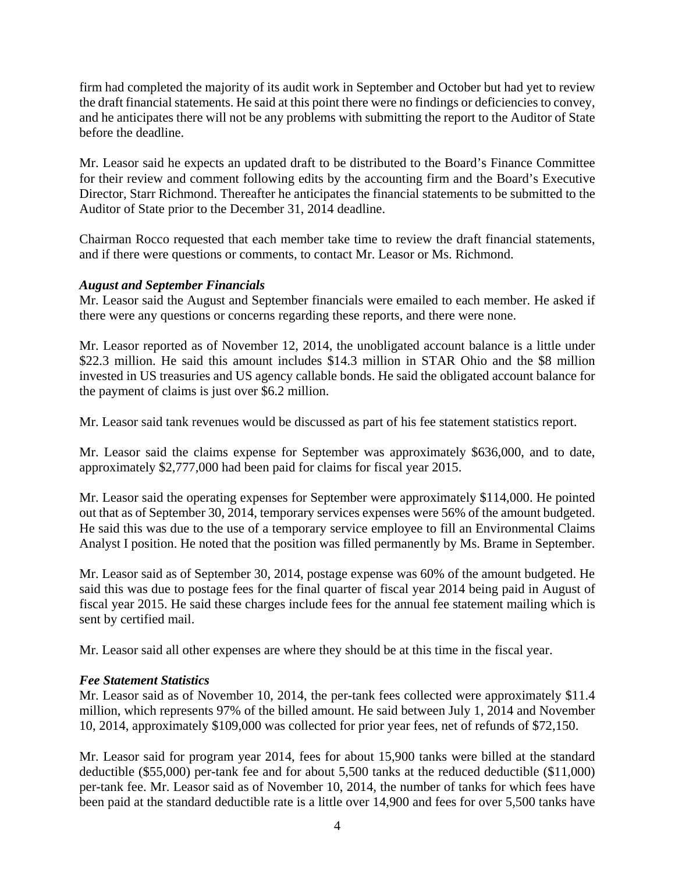firm had completed the majority of its audit work in September and October but had yet to review the draft financial statements. He said at this point there were no findings or deficiencies to convey, and he anticipates there will not be any problems with submitting the report to the Auditor of State before the deadline.

Mr. Leasor said he expects an updated draft to be distributed to the Board's Finance Committee for their review and comment following edits by the accounting firm and the Board's Executive Director, Starr Richmond. Thereafter he anticipates the financial statements to be submitted to the Auditor of State prior to the December 31, 2014 deadline.

Chairman Rocco requested that each member take time to review the draft financial statements, and if there were questions or comments, to contact Mr. Leasor or Ms. Richmond.

# *August and September Financials*

Mr. Leasor said the August and September financials were emailed to each member. He asked if there were any questions or concerns regarding these reports, and there were none.

Mr. Leasor reported as of November 12, 2014, the unobligated account balance is a little under \$22.3 million. He said this amount includes \$14.3 million in STAR Ohio and the \$8 million invested in US treasuries and US agency callable bonds. He said the obligated account balance for the payment of claims is just over \$6.2 million.

Mr. Leasor said tank revenues would be discussed as part of his fee statement statistics report.

Mr. Leasor said the claims expense for September was approximately \$636,000, and to date, approximately \$2,777,000 had been paid for claims for fiscal year 2015.

Mr. Leasor said the operating expenses for September were approximately \$114,000. He pointed out that as of September 30, 2014, temporary services expenses were 56% of the amount budgeted. He said this was due to the use of a temporary service employee to fill an Environmental Claims Analyst I position. He noted that the position was filled permanently by Ms. Brame in September.

Mr. Leasor said as of September 30, 2014, postage expense was 60% of the amount budgeted. He said this was due to postage fees for the final quarter of fiscal year 2014 being paid in August of fiscal year 2015. He said these charges include fees for the annual fee statement mailing which is sent by certified mail.

Mr. Leasor said all other expenses are where they should be at this time in the fiscal year.

# *Fee Statement Statistics*

Mr. Leasor said as of November 10, 2014, the per-tank fees collected were approximately \$11.4 million, which represents 97% of the billed amount. He said between July 1, 2014 and November 10, 2014, approximately \$109,000 was collected for prior year fees, net of refunds of \$72,150.

Mr. Leasor said for program year 2014, fees for about 15,900 tanks were billed at the standard deductible (\$55,000) per-tank fee and for about 5,500 tanks at the reduced deductible (\$11,000) per-tank fee. Mr. Leasor said as of November 10, 2014, the number of tanks for which fees have been paid at the standard deductible rate is a little over 14,900 and fees for over 5,500 tanks have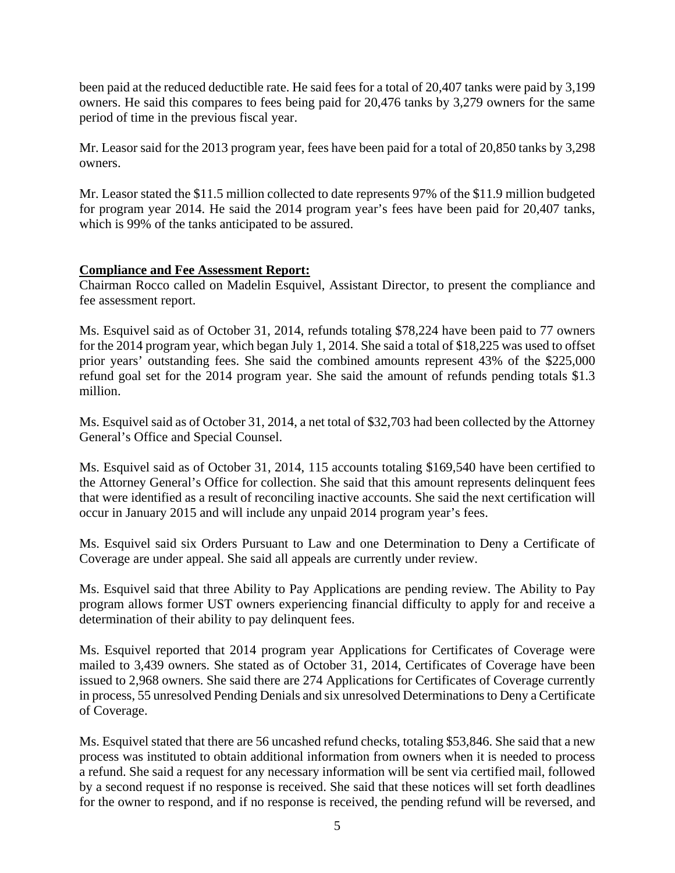been paid at the reduced deductible rate. He said fees for a total of 20,407 tanks were paid by 3,199 owners. He said this compares to fees being paid for 20,476 tanks by 3,279 owners for the same period of time in the previous fiscal year.

Mr. Leasor said for the 2013 program year, fees have been paid for a total of 20,850 tanks by 3,298 owners.

Mr. Leasor stated the \$11.5 million collected to date represents 97% of the \$11.9 million budgeted for program year 2014. He said the 2014 program year's fees have been paid for 20,407 tanks, which is 99% of the tanks anticipated to be assured.

# **Compliance and Fee Assessment Report:**

Chairman Rocco called on Madelin Esquivel, Assistant Director, to present the compliance and fee assessment report.

Ms. Esquivel said as of October 31, 2014, refunds totaling \$78,224 have been paid to 77 owners for the 2014 program year, which began July 1, 2014. She said a total of \$18,225 was used to offset prior years' outstanding fees. She said the combined amounts represent 43% of the \$225,000 refund goal set for the 2014 program year. She said the amount of refunds pending totals \$1.3 million.

Ms. Esquivel said as of October 31, 2014, a net total of \$32,703 had been collected by the Attorney General's Office and Special Counsel.

Ms. Esquivel said as of October 31, 2014, 115 accounts totaling \$169,540 have been certified to the Attorney General's Office for collection. She said that this amount represents delinquent fees that were identified as a result of reconciling inactive accounts. She said the next certification will occur in January 2015 and will include any unpaid 2014 program year's fees.

Ms. Esquivel said six Orders Pursuant to Law and one Determination to Deny a Certificate of Coverage are under appeal. She said all appeals are currently under review.

Ms. Esquivel said that three Ability to Pay Applications are pending review. The Ability to Pay program allows former UST owners experiencing financial difficulty to apply for and receive a determination of their ability to pay delinquent fees.

Ms. Esquivel reported that 2014 program year Applications for Certificates of Coverage were mailed to 3,439 owners. She stated as of October 31, 2014, Certificates of Coverage have been issued to 2,968 owners. She said there are 274 Applications for Certificates of Coverage currently in process, 55 unresolved Pending Denials and six unresolved Determinations to Deny a Certificate of Coverage.

Ms. Esquivel stated that there are 56 uncashed refund checks, totaling \$53,846. She said that a new process was instituted to obtain additional information from owners when it is needed to process a refund. She said a request for any necessary information will be sent via certified mail, followed by a second request if no response is received. She said that these notices will set forth deadlines for the owner to respond, and if no response is received, the pending refund will be reversed, and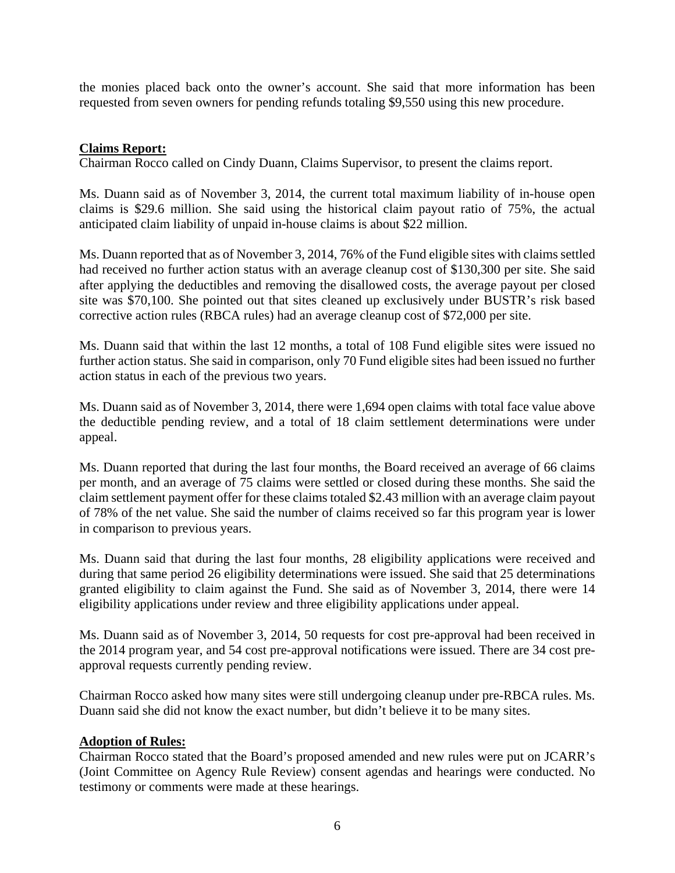the monies placed back onto the owner's account. She said that more information has been requested from seven owners for pending refunds totaling \$9,550 using this new procedure.

## **Claims Report:**

Chairman Rocco called on Cindy Duann, Claims Supervisor, to present the claims report.

Ms. Duann said as of November 3, 2014, the current total maximum liability of in-house open claims is \$29.6 million. She said using the historical claim payout ratio of 75%, the actual anticipated claim liability of unpaid in-house claims is about \$22 million.

Ms. Duann reported that as of November 3, 2014, 76% of the Fund eligible sites with claims settled had received no further action status with an average cleanup cost of \$130,300 per site. She said after applying the deductibles and removing the disallowed costs, the average payout per closed site was \$70,100. She pointed out that sites cleaned up exclusively under BUSTR's risk based corrective action rules (RBCA rules) had an average cleanup cost of \$72,000 per site.

Ms. Duann said that within the last 12 months, a total of 108 Fund eligible sites were issued no further action status. She said in comparison, only 70 Fund eligible sites had been issued no further action status in each of the previous two years.

Ms. Duann said as of November 3, 2014, there were 1,694 open claims with total face value above the deductible pending review, and a total of 18 claim settlement determinations were under appeal.

Ms. Duann reported that during the last four months, the Board received an average of 66 claims per month, and an average of 75 claims were settled or closed during these months. She said the claim settlement payment offer for these claims totaled \$2.43 million with an average claim payout of 78% of the net value. She said the number of claims received so far this program year is lower in comparison to previous years.

Ms. Duann said that during the last four months, 28 eligibility applications were received and during that same period 26 eligibility determinations were issued. She said that 25 determinations granted eligibility to claim against the Fund. She said as of November 3, 2014, there were 14 eligibility applications under review and three eligibility applications under appeal.

Ms. Duann said as of November 3, 2014, 50 requests for cost pre-approval had been received in the 2014 program year, and 54 cost pre-approval notifications were issued. There are 34 cost preapproval requests currently pending review.

Chairman Rocco asked how many sites were still undergoing cleanup under pre-RBCA rules. Ms. Duann said she did not know the exact number, but didn't believe it to be many sites.

## **Adoption of Rules:**

Chairman Rocco stated that the Board's proposed amended and new rules were put on JCARR's (Joint Committee on Agency Rule Review) consent agendas and hearings were conducted. No testimony or comments were made at these hearings.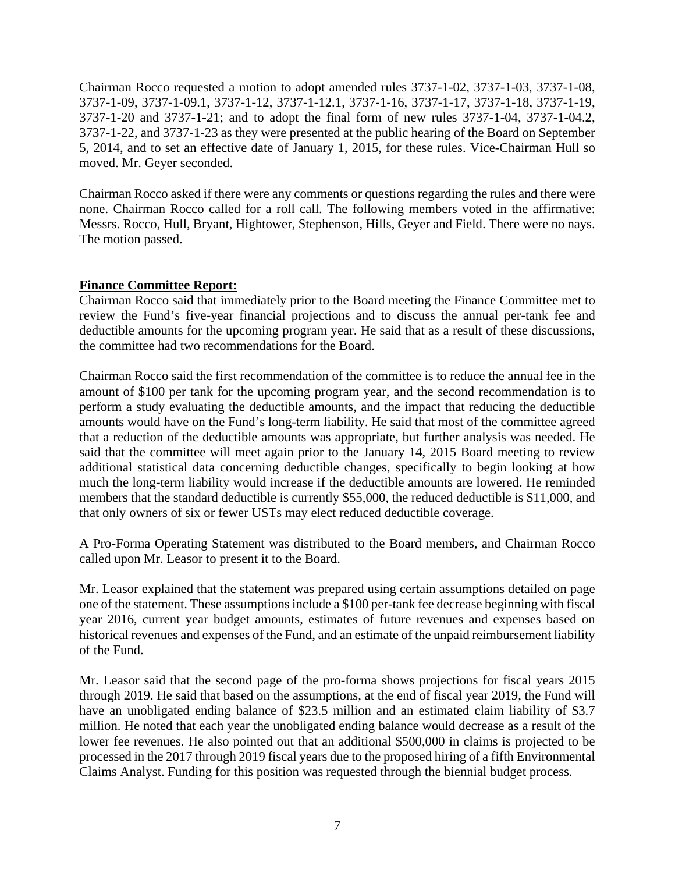Chairman Rocco requested a motion to adopt amended rules 3737-1-02, 3737-1-03, 3737-1-08, 3737-1-09, 3737-1-09.1, 3737-1-12, 3737-1-12.1, 3737-1-16, 3737-1-17, 3737-1-18, 3737-1-19, 3737-1-20 and 3737-1-21; and to adopt the final form of new rules 3737-1-04, 3737-1-04.2, 3737-1-22, and 3737-1-23 as they were presented at the public hearing of the Board on September 5, 2014, and to set an effective date of January 1, 2015, for these rules. Vice-Chairman Hull so moved. Mr. Geyer seconded.

Chairman Rocco asked if there were any comments or questions regarding the rules and there were none. Chairman Rocco called for a roll call. The following members voted in the affirmative: Messrs. Rocco, Hull, Bryant, Hightower, Stephenson, Hills, Geyer and Field. There were no nays. The motion passed.

# **Finance Committee Report:**

Chairman Rocco said that immediately prior to the Board meeting the Finance Committee met to review the Fund's five-year financial projections and to discuss the annual per-tank fee and deductible amounts for the upcoming program year. He said that as a result of these discussions, the committee had two recommendations for the Board.

Chairman Rocco said the first recommendation of the committee is to reduce the annual fee in the amount of \$100 per tank for the upcoming program year, and the second recommendation is to perform a study evaluating the deductible amounts, and the impact that reducing the deductible amounts would have on the Fund's long-term liability. He said that most of the committee agreed that a reduction of the deductible amounts was appropriate, but further analysis was needed. He said that the committee will meet again prior to the January 14, 2015 Board meeting to review additional statistical data concerning deductible changes, specifically to begin looking at how much the long-term liability would increase if the deductible amounts are lowered. He reminded members that the standard deductible is currently \$55,000, the reduced deductible is \$11,000, and that only owners of six or fewer USTs may elect reduced deductible coverage.

A Pro-Forma Operating Statement was distributed to the Board members, and Chairman Rocco called upon Mr. Leasor to present it to the Board.

Mr. Leasor explained that the statement was prepared using certain assumptions detailed on page one of the statement. These assumptions include a \$100 per-tank fee decrease beginning with fiscal year 2016, current year budget amounts, estimates of future revenues and expenses based on historical revenues and expenses of the Fund, and an estimate of the unpaid reimbursement liability of the Fund.

Mr. Leasor said that the second page of the pro-forma shows projections for fiscal years 2015 through 2019. He said that based on the assumptions, at the end of fiscal year 2019, the Fund will have an unobligated ending balance of \$23.5 million and an estimated claim liability of \$3.7 million. He noted that each year the unobligated ending balance would decrease as a result of the lower fee revenues. He also pointed out that an additional \$500,000 in claims is projected to be processed in the 2017 through 2019 fiscal years due to the proposed hiring of a fifth Environmental Claims Analyst. Funding for this position was requested through the biennial budget process.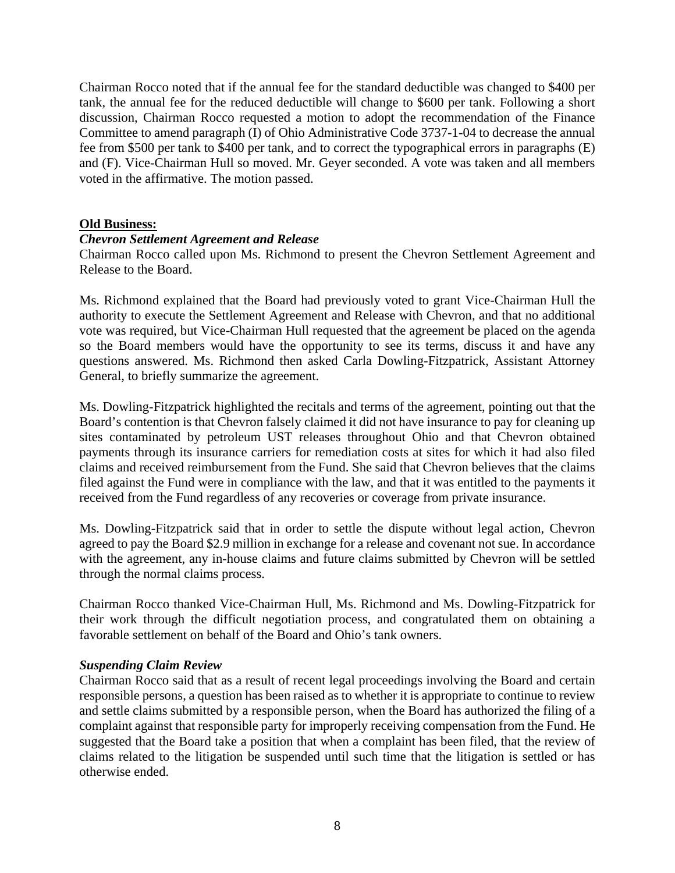Chairman Rocco noted that if the annual fee for the standard deductible was changed to \$400 per tank, the annual fee for the reduced deductible will change to \$600 per tank. Following a short discussion, Chairman Rocco requested a motion to adopt the recommendation of the Finance Committee to amend paragraph (I) of Ohio Administrative Code 3737-1-04 to decrease the annual fee from \$500 per tank to \$400 per tank, and to correct the typographical errors in paragraphs (E) and (F). Vice-Chairman Hull so moved. Mr. Geyer seconded. A vote was taken and all members voted in the affirmative. The motion passed.

#### **Old Business:**

## *Chevron Settlement Agreement and Release*

Chairman Rocco called upon Ms. Richmond to present the Chevron Settlement Agreement and Release to the Board.

Ms. Richmond explained that the Board had previously voted to grant Vice-Chairman Hull the authority to execute the Settlement Agreement and Release with Chevron, and that no additional vote was required, but Vice-Chairman Hull requested that the agreement be placed on the agenda so the Board members would have the opportunity to see its terms, discuss it and have any questions answered. Ms. Richmond then asked Carla Dowling-Fitzpatrick, Assistant Attorney General, to briefly summarize the agreement.

Ms. Dowling-Fitzpatrick highlighted the recitals and terms of the agreement, pointing out that the Board's contention is that Chevron falsely claimed it did not have insurance to pay for cleaning up sites contaminated by petroleum UST releases throughout Ohio and that Chevron obtained payments through its insurance carriers for remediation costs at sites for which it had also filed claims and received reimbursement from the Fund. She said that Chevron believes that the claims filed against the Fund were in compliance with the law, and that it was entitled to the payments it received from the Fund regardless of any recoveries or coverage from private insurance.

Ms. Dowling-Fitzpatrick said that in order to settle the dispute without legal action, Chevron agreed to pay the Board \$2.9 million in exchange for a release and covenant not sue. In accordance with the agreement, any in-house claims and future claims submitted by Chevron will be settled through the normal claims process.

Chairman Rocco thanked Vice-Chairman Hull, Ms. Richmond and Ms. Dowling-Fitzpatrick for their work through the difficult negotiation process, and congratulated them on obtaining a favorable settlement on behalf of the Board and Ohio's tank owners.

## *Suspending Claim Review*

Chairman Rocco said that as a result of recent legal proceedings involving the Board and certain responsible persons, a question has been raised as to whether it is appropriate to continue to review and settle claims submitted by a responsible person, when the Board has authorized the filing of a complaint against that responsible party for improperly receiving compensation from the Fund. He suggested that the Board take a position that when a complaint has been filed, that the review of claims related to the litigation be suspended until such time that the litigation is settled or has otherwise ended.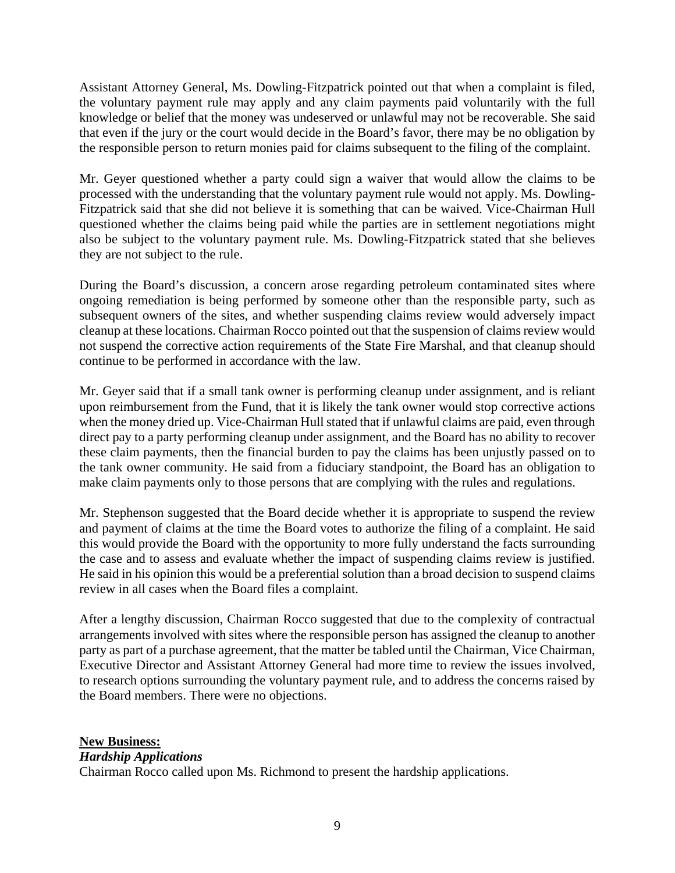Assistant Attorney General, Ms. Dowling-Fitzpatrick pointed out that when a complaint is filed, the voluntary payment rule may apply and any claim payments paid voluntarily with the full knowledge or belief that the money was undeserved or unlawful may not be recoverable. She said that even if the jury or the court would decide in the Board's favor, there may be no obligation by the responsible person to return monies paid for claims subsequent to the filing of the complaint.

Mr. Geyer questioned whether a party could sign a waiver that would allow the claims to be processed with the understanding that the voluntary payment rule would not apply. Ms. Dowling-Fitzpatrick said that she did not believe it is something that can be waived. Vice-Chairman Hull questioned whether the claims being paid while the parties are in settlement negotiations might also be subject to the voluntary payment rule. Ms. Dowling-Fitzpatrick stated that she believes they are not subject to the rule.

During the Board's discussion, a concern arose regarding petroleum contaminated sites where ongoing remediation is being performed by someone other than the responsible party, such as subsequent owners of the sites, and whether suspending claims review would adversely impact cleanup at these locations. Chairman Rocco pointed out that the suspension of claims review would not suspend the corrective action requirements of the State Fire Marshal, and that cleanup should continue to be performed in accordance with the law.

Mr. Geyer said that if a small tank owner is performing cleanup under assignment, and is reliant upon reimbursement from the Fund, that it is likely the tank owner would stop corrective actions when the money dried up. Vice-Chairman Hull stated that if unlawful claims are paid, even through direct pay to a party performing cleanup under assignment, and the Board has no ability to recover these claim payments, then the financial burden to pay the claims has been unjustly passed on to the tank owner community. He said from a fiduciary standpoint, the Board has an obligation to make claim payments only to those persons that are complying with the rules and regulations.

Mr. Stephenson suggested that the Board decide whether it is appropriate to suspend the review and payment of claims at the time the Board votes to authorize the filing of a complaint. He said this would provide the Board with the opportunity to more fully understand the facts surrounding the case and to assess and evaluate whether the impact of suspending claims review is justified. He said in his opinion this would be a preferential solution than a broad decision to suspend claims review in all cases when the Board files a complaint.

After a lengthy discussion, Chairman Rocco suggested that due to the complexity of contractual arrangements involved with sites where the responsible person has assigned the cleanup to another party as part of a purchase agreement, that the matter be tabled until the Chairman, Vice Chairman, Executive Director and Assistant Attorney General had more time to review the issues involved, to research options surrounding the voluntary payment rule, and to address the concerns raised by the Board members. There were no objections.

# **New Business:**

## *Hardship Applications*

Chairman Rocco called upon Ms. Richmond to present the hardship applications.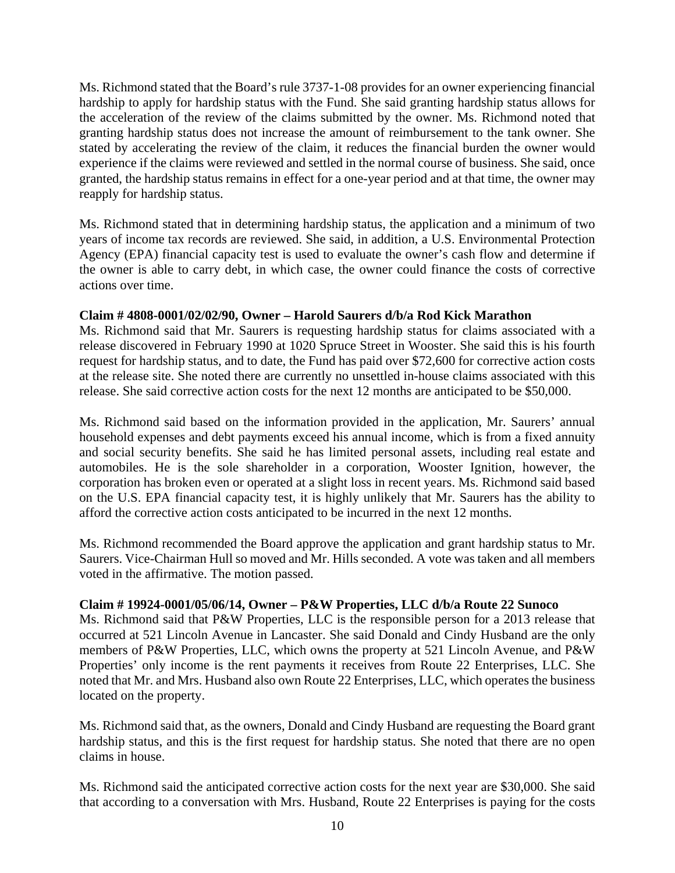Ms. Richmond stated that the Board's rule 3737-1-08 provides for an owner experiencing financial hardship to apply for hardship status with the Fund. She said granting hardship status allows for the acceleration of the review of the claims submitted by the owner. Ms. Richmond noted that granting hardship status does not increase the amount of reimbursement to the tank owner. She stated by accelerating the review of the claim, it reduces the financial burden the owner would experience if the claims were reviewed and settled in the normal course of business. She said, once granted, the hardship status remains in effect for a one-year period and at that time, the owner may reapply for hardship status.

Ms. Richmond stated that in determining hardship status, the application and a minimum of two years of income tax records are reviewed. She said, in addition, a U.S. Environmental Protection Agency (EPA) financial capacity test is used to evaluate the owner's cash flow and determine if the owner is able to carry debt, in which case, the owner could finance the costs of corrective actions over time.

# **Claim # 4808-0001/02/02/90, Owner – Harold Saurers d/b/a Rod Kick Marathon**

Ms. Richmond said that Mr. Saurers is requesting hardship status for claims associated with a release discovered in February 1990 at 1020 Spruce Street in Wooster. She said this is his fourth request for hardship status, and to date, the Fund has paid over \$72,600 for corrective action costs at the release site. She noted there are currently no unsettled in-house claims associated with this release. She said corrective action costs for the next 12 months are anticipated to be \$50,000.

Ms. Richmond said based on the information provided in the application, Mr. Saurers' annual household expenses and debt payments exceed his annual income, which is from a fixed annuity and social security benefits. She said he has limited personal assets, including real estate and automobiles. He is the sole shareholder in a corporation, Wooster Ignition, however, the corporation has broken even or operated at a slight loss in recent years. Ms. Richmond said based on the U.S. EPA financial capacity test, it is highly unlikely that Mr. Saurers has the ability to afford the corrective action costs anticipated to be incurred in the next 12 months.

Ms. Richmond recommended the Board approve the application and grant hardship status to Mr. Saurers. Vice-Chairman Hull so moved and Mr. Hills seconded. A vote was taken and all members voted in the affirmative. The motion passed.

# **Claim # 19924-0001/05/06/14, Owner – P&W Properties, LLC d/b/a Route 22 Sunoco**

Ms. Richmond said that P&W Properties, LLC is the responsible person for a 2013 release that occurred at 521 Lincoln Avenue in Lancaster. She said Donald and Cindy Husband are the only members of P&W Properties, LLC, which owns the property at 521 Lincoln Avenue, and P&W Properties' only income is the rent payments it receives from Route 22 Enterprises, LLC. She noted that Mr. and Mrs. Husband also own Route 22 Enterprises, LLC, which operates the business located on the property.

Ms. Richmond said that, as the owners, Donald and Cindy Husband are requesting the Board grant hardship status, and this is the first request for hardship status. She noted that there are no open claims in house.

Ms. Richmond said the anticipated corrective action costs for the next year are \$30,000. She said that according to a conversation with Mrs. Husband, Route 22 Enterprises is paying for the costs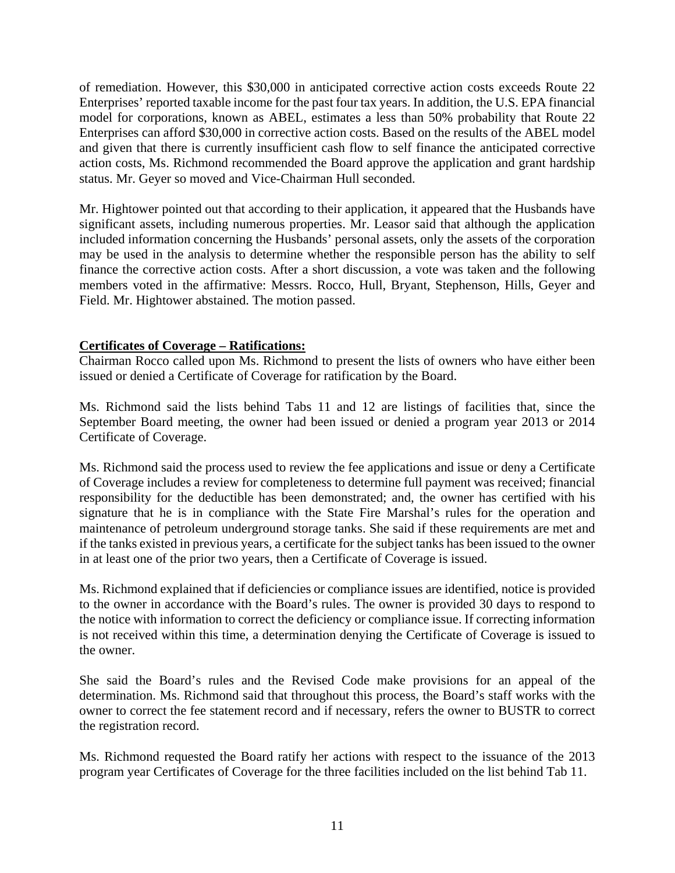of remediation. However, this \$30,000 in anticipated corrective action costs exceeds Route 22 Enterprises' reported taxable income for the past four tax years. In addition, the U.S. EPA financial model for corporations, known as ABEL, estimates a less than 50% probability that Route 22 Enterprises can afford \$30,000 in corrective action costs. Based on the results of the ABEL model and given that there is currently insufficient cash flow to self finance the anticipated corrective action costs, Ms. Richmond recommended the Board approve the application and grant hardship status. Mr. Geyer so moved and Vice-Chairman Hull seconded.

Mr. Hightower pointed out that according to their application, it appeared that the Husbands have significant assets, including numerous properties. Mr. Leasor said that although the application included information concerning the Husbands' personal assets, only the assets of the corporation may be used in the analysis to determine whether the responsible person has the ability to self finance the corrective action costs. After a short discussion, a vote was taken and the following members voted in the affirmative: Messrs. Rocco, Hull, Bryant, Stephenson, Hills, Geyer and Field. Mr. Hightower abstained. The motion passed.

## **Certificates of Coverage – Ratifications:**

Chairman Rocco called upon Ms. Richmond to present the lists of owners who have either been issued or denied a Certificate of Coverage for ratification by the Board.

Ms. Richmond said the lists behind Tabs 11 and 12 are listings of facilities that, since the September Board meeting, the owner had been issued or denied a program year 2013 or 2014 Certificate of Coverage.

Ms. Richmond said the process used to review the fee applications and issue or deny a Certificate of Coverage includes a review for completeness to determine full payment was received; financial responsibility for the deductible has been demonstrated; and, the owner has certified with his signature that he is in compliance with the State Fire Marshal's rules for the operation and maintenance of petroleum underground storage tanks. She said if these requirements are met and if the tanks existed in previous years, a certificate for the subject tanks has been issued to the owner in at least one of the prior two years, then a Certificate of Coverage is issued.

Ms. Richmond explained that if deficiencies or compliance issues are identified, notice is provided to the owner in accordance with the Board's rules. The owner is provided 30 days to respond to the notice with information to correct the deficiency or compliance issue. If correcting information is not received within this time, a determination denying the Certificate of Coverage is issued to the owner.

She said the Board's rules and the Revised Code make provisions for an appeal of the determination. Ms. Richmond said that throughout this process, the Board's staff works with the owner to correct the fee statement record and if necessary, refers the owner to BUSTR to correct the registration record.

Ms. Richmond requested the Board ratify her actions with respect to the issuance of the 2013 program year Certificates of Coverage for the three facilities included on the list behind Tab 11.